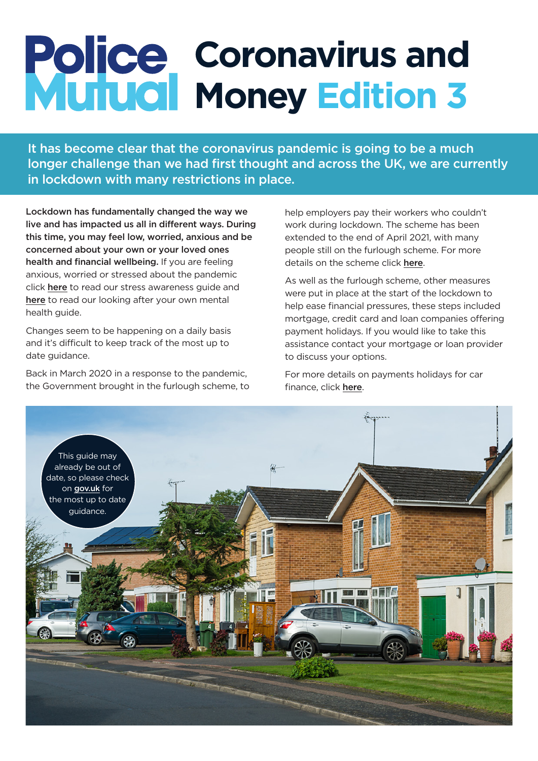# **Coronavirus and Money Edition 3**

It has become clear that the coronavirus pandemic is going to be a much longer challenge than we had first thought and across the UK, we are currently in lockdown with many restrictions in place.

Lockdown has fundamentally changed the way we live and has impacted us all in different ways. During this time, you may feel low, worried, anxious and be concerned about your own or your loved ones health and financial wellbeing. If you are feeling anxious, worried or stressed about the pandemic click [here](https://www.policemutual.co.uk/assets/activity/wellbeing/stress-awareness-week/) to read our stress awareness guide and [here](https://www.policemutual.co.uk/assets/activity/coronavirus/looking-after-your-own-mental-health/) to read our looking after your own mental health guide.

Changes seem to be happening on a daily basis and it's difficult to keep track of the most up to date quidance.

Back in March 2020 in a response to the pandemic, the Government brought in the furlough scheme, to help employers pay their workers who couldn't work during lockdown. The scheme has been extended to the end of April 2021, with many people still on the furlough scheme. For more details on the scheme click [here](https://www.gov.uk/government/collections/coronavirus-job-retention-scheme).

As well as the furlough scheme, other measures were put in place at the start of the lockdown to help ease financial pressures, these steps included mortgage, credit card and loan companies offering payment holidays. If you would like to take this assistance contact your mortgage or loan provider to discuss your options.

For more details on payments holidays for car finance, click [here](https://www.moneyadviceservice.org.uk/en/articles/coronavirus-covid-19-car-payment-holidays).

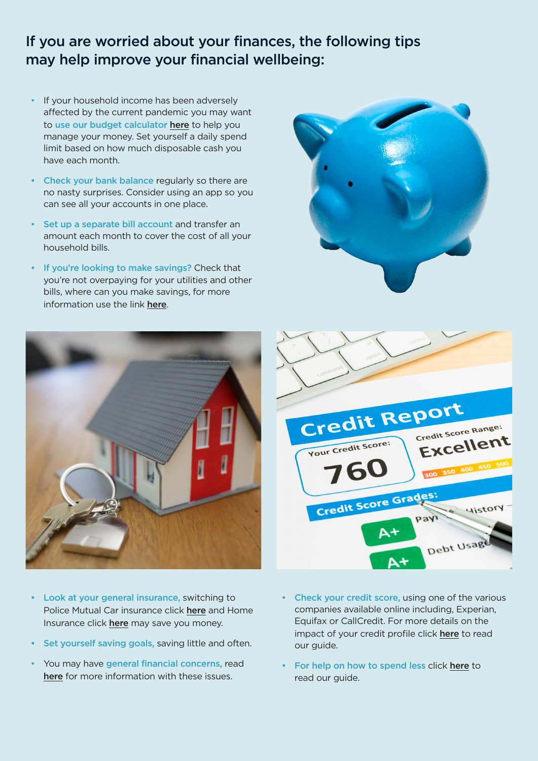# If you are worried about your finances, the following tips may help improve your financial wellbeing:

- If your household income has been adversely affected by the current pandemic you may want to use our budget calculator [here](https://www.policemutual.co.uk/calculators-and-tools/budget-calculator/) to help you manage your money. Set yourself a daily spend limit based on how much disposable cash you have each month.
- Check your bank balance regularly so there are no nasty surprises. Consider using an app so you can see all your accounts in one place.
- Set up a separate bill account and transfer an amount each month to cover the cost of all your household bills.
- If you're looking to make savings? Check that you're not overpaying for your utilities and other bills, where can you make savings, for more information use the link [here](https://www.moneysavingexpert.com/utilities/).





- Credit Report Credit Score Range: Excellent Your Credit Score: Credit Score Grades *<u>History</u>* Debt Usag
- Look at your general insurance, switching to Police Mutual Car insurance [click](https://www.policemutual.co.uk/products/insurance/car-insurance/) here and Home Insurance click [here](https://www.policemutual.co.uk/products/insurance/home-insurance/) may save you money.
- Set yourself saving goals, saving little and often.
- You may have general financial concerns, read [here](https://www.moneyadviceservice.org.uk/en/articles/coronavirus-and-your-money) for more information with these issues.
- Check your credit score, using one of the various companies available online including, Experian, Equifax or CallCredit. For more details on the impact of your credit profile click [here](https://www.policemutual.co.uk/media/gtcpmiw1/6613-pm-18-impact-on-your-credit-profile-final-with-links.pdf?v=327) to read our guide.
- For help on how to spend less click [here](https://www.policemutual.co.uk/assets/activity/lets-talk-money/newsletter/january-2021/) to read our guide.